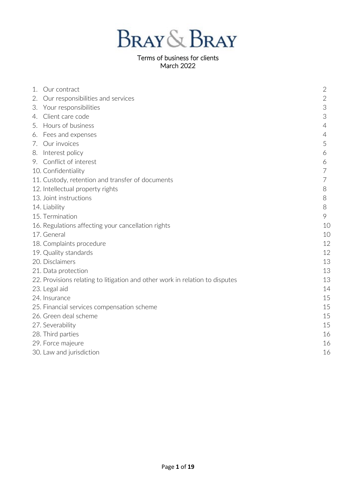

# March 2022

| 1. | Our contract                                                                 | $\overline{2}$ |
|----|------------------------------------------------------------------------------|----------------|
| 2. | Our responsibilities and services                                            | $\mathbf{2}$   |
| 3. | Your responsibilities                                                        | 3              |
| 4. | Client care code                                                             | 3              |
|    | 5. Hours of business                                                         | $\overline{4}$ |
|    | 6. Fees and expenses                                                         | 4              |
|    | 7. Our invoices                                                              | 5              |
|    | 8. Interest policy                                                           | 6              |
|    | 9. Conflict of interest                                                      | 6              |
|    | 10. Confidentiality                                                          | $\overline{7}$ |
|    | 11. Custody, retention and transfer of documents                             | $\overline{7}$ |
|    | 12. Intellectual property rights                                             | 8              |
|    | 13. Joint instructions                                                       | 8              |
|    | 14. Liability                                                                | 8              |
|    | 15. Termination                                                              | 9              |
|    | 16. Regulations affecting your cancellation rights                           | 1C             |
|    | 17. General                                                                  | 1C             |
|    | 18. Complaints procedure                                                     | 12             |
|    | 19. Quality standards                                                        | 12             |
|    | 20. Disclaimers                                                              | 13             |
|    | 21. Data protection                                                          | 13             |
|    | 22. Provisions relating to litigation and other work in relation to disputes | 13             |
|    | 23. Legal aid                                                                | 14             |
|    | 24. Insurance                                                                | 15             |
|    | 25. Financial services compensation scheme                                   | 15             |
|    | 26. Green deal scheme                                                        | 15             |
|    | 27. Severability                                                             | 15             |
|    | 28. Third parties                                                            | 16             |
|    | 29. Force majeure                                                            | 16             |
|    | 30. Law and jurisdiction                                                     | 16             |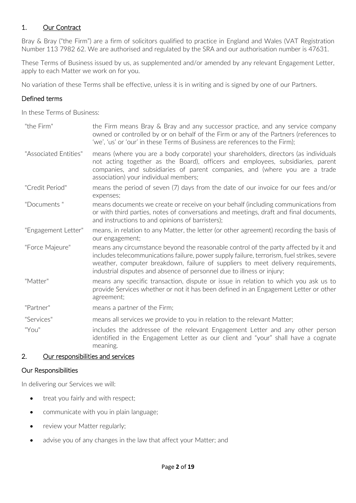# 1. Our Contract

Bray & Bray ("the Firm") are a firm of solicitors qualified to practice in England and Wales (VAT Registration Number 113 7982 62. We are authorised and regulated by the SRA and our authorisation number is 47631.

These Terms of Business issued by us, as supplemented and/or amended by any relevant Engagement Letter, apply to each Matter we work on for you.

No variation of these Terms shall be effective, unless it is in writing and is signed by one of our Partners.

## Defined terms

In these Terms of Business:

| "the Firm"            | the Firm means Bray & Bray and any successor practice, and any service company<br>owned or controlled by or on behalf of the Firm or any of the Partners (references to<br>'we', 'us' or 'our' in these Terms of Business are references to the Firm);                                                                                           |
|-----------------------|--------------------------------------------------------------------------------------------------------------------------------------------------------------------------------------------------------------------------------------------------------------------------------------------------------------------------------------------------|
| "Associated Entities" | means (where you are a body corporate) your shareholders, directors (as individuals<br>not acting together as the Board), officers and employees, subsidiaries, parent<br>companies, and subsidiaries of parent companies, and (where you are a trade<br>association) your individual members;                                                   |
| "Credit Period"       | means the period of seven (7) days from the date of our invoice for our fees and/or<br>expenses;                                                                                                                                                                                                                                                 |
| "Documents"           | means documents we create or receive on your behalf (including communications from<br>or with third parties, notes of conversations and meetings, draft and final documents,<br>and instructions to and opinions of barristers);                                                                                                                 |
| "Engagement Letter"   | means, in relation to any Matter, the letter (or other agreement) recording the basis of<br>our engagement;                                                                                                                                                                                                                                      |
| "Force Majeure"       | means any circumstance beyond the reasonable control of the party affected by it and<br>includes telecommunications failure, power supply failure, terrorism, fuel strikes, severe<br>weather, computer breakdown, failure of suppliers to meet delivery requirements,<br>industrial disputes and absence of personnel due to illness or injury; |
| "Matter"              | means any specific transaction, dispute or issue in relation to which you ask us to<br>provide Services whether or not it has been defined in an Engagement Letter or other<br>agreement;                                                                                                                                                        |
| "Partner"             | means a partner of the Firm;                                                                                                                                                                                                                                                                                                                     |
| "Services"            | means all services we provide to you in relation to the relevant Matter;                                                                                                                                                                                                                                                                         |
| "You"                 | includes the addressee of the relevant Engagement Letter and any other person<br>identified in the Engagement Letter as our client and "your" shall have a cognate<br>meaning.                                                                                                                                                                   |

### 2. Our responsibilities and services

### Our Responsibilities

In delivering our Services we will:

- treat you fairly and with respect;
- communicate with you in plain language;
- review your Matter regularly;
- advise you of any changes in the law that affect your Matter; and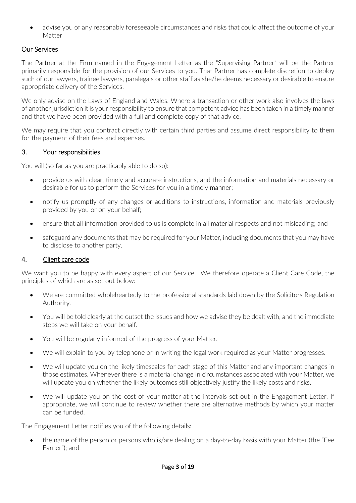• advise you of any reasonably foreseeable circumstances and risks that could affect the outcome of your Matter

# Our Services

The Partner at the Firm named in the Engagement Letter as the "Supervising Partner" will be the Partner primarily responsible for the provision of our Services to you. That Partner has complete discretion to deploy such of our lawyers, trainee lawyers, paralegals or other staff as she/he deems necessary or desirable to ensure appropriate delivery of the Services.

We only advise on the Laws of England and Wales. Where a transaction or other work also involves the laws of another jurisdiction it is your responsibility to ensure that competent advice has been taken in a timely manner and that we have been provided with a full and complete copy of that advice.

We may require that you contract directly with certain third parties and assume direct responsibility to them for the payment of their fees and expenses.

# 3. Your responsibilities

You will (so far as you are practicably able to do so):

- provide us with clear, timely and accurate instructions, and the information and materials necessary or desirable for us to perform the Services for you in a timely manner;
- notify us promptly of any changes or additions to instructions, information and materials previously provided by you or on your behalf;
- ensure that all information provided to us is complete in all material respects and not misleading; and
- safeguard any documents that may be required for your Matter, including documents that you may have to disclose to another party.

### 4. Client care code

We want you to be happy with every aspect of our Service. We therefore operate a Client Care Code, the principles of which are as set out below:

- We are committed wholeheartedly to the professional standards laid down by the Solicitors Regulation Authority.
- You will be told clearly at the outset the issues and how we advise they be dealt with, and the immediate steps we will take on your behalf.
- You will be regularly informed of the progress of your Matter.
- We will explain to you by telephone or in writing the legal work required as your Matter progresses.
- We will update you on the likely timescales for each stage of this Matter and any important changes in those estimates. Whenever there is a material change in circumstances associated with your Matter, we will update you on whether the likely outcomes still objectively justify the likely costs and risks.
- We will update you on the cost of your matter at the intervals set out in the Engagement Letter. If appropriate, we will continue to review whether there are alternative methods by which your matter can be funded.

The Engagement Letter notifies you of the following details:

• the name of the person or persons who is/are dealing on a day-to-day basis with your Matter (the "Fee" Earner"); and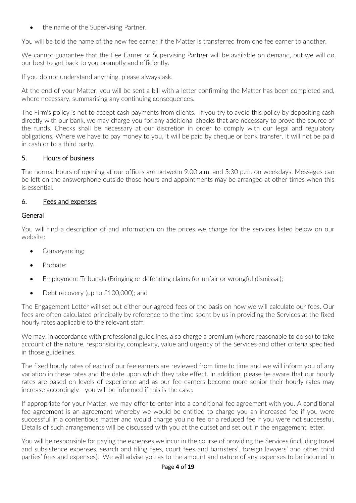• the name of the Supervising Partner.

You will be told the name of the new fee earner if the Matter is transferred from one fee earner to another.

We cannot guarantee that the Fee Earner or Supervising Partner will be available on demand, but we will do our best to get back to you promptly and efficiently.

If you do not understand anything, please always ask.

At the end of your Matter, you will be sent a bill with a letter confirming the Matter has been completed and, where necessary, summarising any continuing consequences.

The Firm's policy is not to accept cash payments from clients. If you try to avoid this policy by depositing cash directly with our bank, we may charge you for any additional checks that are necessary to prove the source of the funds. Checks shall be necessary at our discretion in order to comply with our legal and regulatory obligations. Where we have to pay money to you, it will be paid by cheque or bank transfer. It will not be paid in cash or to a third party.

# 5. Hours of business

The normal hours of opening at our offices are between 9.00 a.m. and 5:30 p.m. on weekdays. Messages can be left on the answerphone outside those hours and appointments may be arranged at other times when this is essential.

### 6. Fees and expenses

## **General**

You will find a description of and information on the prices we charge for the services listed below on our website:

- Conveyancing;
- Probate;
- Employment Tribunals (Bringing or defending claims for unfair or wrongful dismissal);
- Debt recovery (up to £100,000); and

The Engagement Letter will set out either our agreed fees or the basis on how we will calculate our fees. Our fees are often calculated principally by reference to the time spent by us in providing the Services at the fixed hourly rates applicable to the relevant staff.

We may, in accordance with professional guidelines, also charge a premium (where reasonable to do so) to take account of the nature, responsibility, complexity, value and urgency of the Services and other criteria specified in those guidelines.

The fixed hourly rates of each of our fee earners are reviewed from time to time and we will inform you of any variation in these rates and the date upon which they take effect. In addition, please be aware that our hourly rates are based on levels of experience and as our fee earners become more senior their hourly rates may increase accordingly - you will be informed if this is the case.

If appropriate for your Matter, we may offer to enter into a conditional fee agreement with you. A conditional fee agreement is an agreement whereby we would be entitled to charge you an increased fee if you were successful in a contentious matter and would charge you no fee or a reduced fee if you were not successful. Details of such arrangements will be discussed with you at the outset and set out in the engagement letter.

You will be responsible for paying the expenses we incur in the course of providing the Services (including travel and subsistence expenses, search and filing fees, court fees and barristers', foreign lawyers' and other third parties' fees and expenses). We will advise you as to the amount and nature of any expenses to be incurred in

#### Page **4** of **19**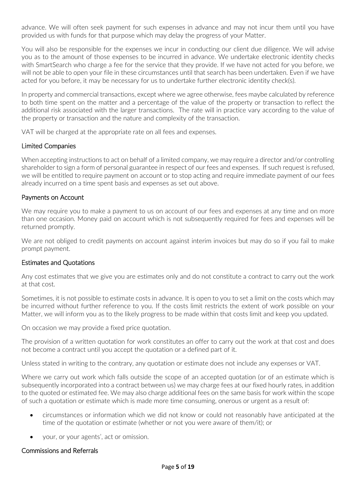advance. We will often seek payment for such expenses in advance and may not incur them until you have provided us with funds for that purpose which may delay the progress of your Matter.

You will also be responsible for the expenses we incur in conducting our client due diligence. We will advise you as to the amount of those expenses to be incurred in advance. We undertake electronic identity checks with SmartSearch who charge a fee for the service that they provide. If we have not acted for you before, we will not be able to open your file in these circumstances until that search has been undertaken. Even if we have acted for you before, it may be necessary for us to undertake further electronic identity check(s).

In property and commercial transactions, except where we agree otherwise, fees maybe calculated by reference to both time spent on the matter and a percentage of the value of the property or transaction to reflect the additional risk associated with the larger transactions. The rate will in practice vary according to the value of the property or transaction and the nature and complexity of the transaction.

VAT will be charged at the appropriate rate on all fees and expenses.

#### Limited Companies

When accepting instructions to act on behalf of a limited company, we may require a director and/or controlling shareholder to sign a form of personal guarantee in respect of our fees and expenses. If such request is refused, we will be entitled to require payment on account or to stop acting and require immediate payment of our fees already incurred on a time spent basis and expenses as set out above.

#### Payments on Account

We may require you to make a payment to us on account of our fees and expenses at any time and on more than one occasion. Money paid on account which is not subsequently required for fees and expenses will be returned promptly.

We are not obliged to credit payments on account against interim invoices but may do so if you fail to make prompt payment.

#### Estimates and Quotations

Any cost estimates that we give you are estimates only and do not constitute a contract to carry out the work at that cost.

Sometimes, it is not possible to estimate costs in advance. It is open to you to set a limit on the costs which may be incurred without further reference to you. If the costs limit restricts the extent of work possible on your Matter, we will inform you as to the likely progress to be made within that costs limit and keep you updated.

On occasion we may provide a fixed price quotation.

The provision of a written quotation for work constitutes an offer to carry out the work at that cost and does not become a contract until you accept the quotation or a defined part of it.

Unless stated in writing to the contrary, any quotation or estimate does not include any expenses or VAT.

Where we carry out work which falls outside the scope of an accepted quotation (or of an estimate which is subsequently incorporated into a contract between us) we may charge fees at our fixed hourly rates, in addition to the quoted or estimated fee. We may also charge additional fees on the same basis for work within the scope of such a quotation or estimate which is made more time consuming, onerous or urgent as a result of:

- circumstances or information which we did not know or could not reasonably have anticipated at the time of the quotation or estimate (whether or not you were aware of them/it); or
- your, or your agents', act or omission.

#### Commissions and Referrals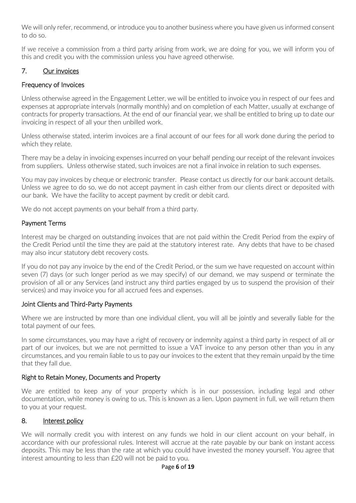We will only refer, recommend, or introduce you to another business where you have given us informed consent to do so.

If we receive a commission from a third party arising from work, we are doing for you, we will inform you of this and credit you with the commission unless you have agreed otherwise.

## 7. Our invoices

## Frequency of Invoices

Unless otherwise agreed in the Engagement Letter, we will be entitled to invoice you in respect of our fees and expenses at appropriate intervals (normally monthly) and on completion of each Matter, usually at exchange of contracts for property transactions. At the end of our financial year, we shall be entitled to bring up to date our invoicing in respect of all your then unbilled work.

Unless otherwise stated, interim invoices are a final account of our fees for all work done during the period to which they relate.

There may be a delay in invoicing expenses incurred on your behalf pending our receipt of the relevant invoices from suppliers. Unless otherwise stated, such invoices are not a final invoice in relation to such expenses.

You may pay invoices by cheque or electronic transfer. Please contact us directly for our bank account details. Unless we agree to do so, we do not accept payment in cash either from our clients direct or deposited with our bank. We have the facility to accept payment by credit or debit card.

We do not accept payments on your behalf from a third party.

### Payment Terms

Interest may be charged on outstanding invoices that are not paid within the Credit Period from the expiry of the Credit Period until the time they are paid at the statutory interest rate. Any debts that have to be chased may also incur statutory debt recovery costs.

If you do not pay any invoice by the end of the Credit Period, or the sum we have requested on account within seven (7) days (or such longer period as we may specify) of our demand, we may suspend or terminate the provision of all or any Services (and instruct any third parties engaged by us to suspend the provision of their services) and may invoice you for all accrued fees and expenses.

### Joint Clients and Third-Party Payments

Where we are instructed by more than one individual client, you will all be jointly and severally liable for the total payment of our fees.

In some circumstances, you may have a right of recovery or indemnity against a third party in respect of all or part of our invoices, but we are not permitted to issue a VAT invoice to any person other than you in any circumstances, and you remain liable to us to pay our invoices to the extent that they remain unpaid by the time that they fall due.

### Right to Retain Money, Documents and Property

We are entitled to keep any of your property which is in our possession, including legal and other documentation, while money is owing to us. This is known as a lien. Upon payment in full, we will return them to you at your request.

#### 8. Interest policy

We will normally credit you with interest on any funds we hold in our client account on your behalf, in accordance with our professional rules. Interest will accrue at the rate payable by our bank on instant access deposits. This may be less than the rate at which you could have invested the money yourself. You agree that interest amounting to less than £20 will not be paid to you.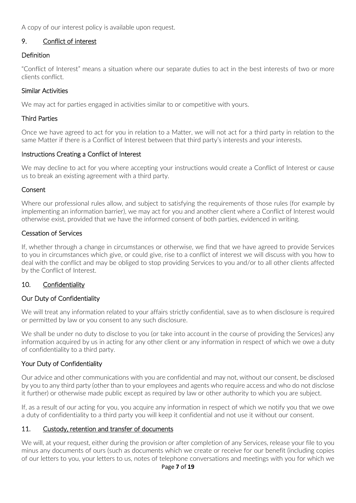A copy of our interest policy is available upon request.

## 9. Conflict of interest

#### Definition

"Conflict of Interest" means a situation where our separate duties to act in the best interests of two or more clients conflict.

#### Similar Activities

We may act for parties engaged in activities similar to or competitive with yours.

#### Third Parties

Once we have agreed to act for you in relation to a Matter, we will not act for a third party in relation to the same Matter if there is a Conflict of Interest between that third party's interests and your interests.

### Instructions Creating a Conflict of Interest

We may decline to act for you where accepting your instructions would create a Conflict of Interest or cause us to break an existing agreement with a third party.

#### Consent

Where our professional rules allow, and subject to satisfying the requirements of those rules (for example by implementing an information barrier), we may act for you and another client where a Conflict of Interest would otherwise exist, provided that we have the informed consent of both parties, evidenced in writing.

#### Cessation of Services

If, whether through a change in circumstances or otherwise, we find that we have agreed to provide Services to you in circumstances which give, or could give, rise to a conflict of interest we will discuss with you how to deal with the conflict and may be obliged to stop providing Services to you and/or to all other clients affected by the Conflict of Interest.

### 10. Confidentiality

### Our Duty of Confidentiality

We will treat any information related to your affairs strictly confidential, save as to when disclosure is required or permitted by law or you consent to any such disclosure.

We shall be under no duty to disclose to you (or take into account in the course of providing the Services) any information acquired by us in acting for any other client or any information in respect of which we owe a duty of confidentiality to a third party.

#### Your Duty of Confidentiality

Our advice and other communications with you are confidential and may not, without our consent, be disclosed by you to any third party (other than to your employees and agents who require access and who do not disclose it further) or otherwise made public except as required by law or other authority to which you are subject.

If, as a result of our acting for you, you acquire any information in respect of which we notify you that we owe a duty of confidentiality to a third party you will keep it confidential and not use it without our consent.

### 11. Custody, retention and transfer of documents

We will, at your request, either during the provision or after completion of any Services, release your file to you minus any documents of ours (such as documents which we create or receive for our benefit (including copies of our letters to you, your letters to us, notes of telephone conversations and meetings with you for which we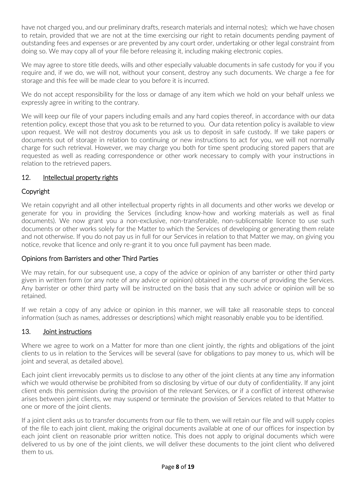have not charged you, and our preliminary drafts, research materials and internal notes); which we have chosen to retain, provided that we are not at the time exercising our right to retain documents pending payment of outstanding fees and expenses or are prevented by any court order, undertaking or other legal constraint from doing so. We may copy all of your file before releasing it, including making electronic copies.

We may agree to store title deeds, wills and other especially valuable documents in safe custody for you if you require and, if we do, we will not, without your consent, destroy any such documents. We charge a fee for storage and this fee will be made clear to you before it is incurred.

We do not accept responsibility for the loss or damage of any item which we hold on your behalf unless we expressly agree in writing to the contrary.

We will keep our file of your papers including emails and any hard copies thereof, in accordance with our data retention policy, except those that you ask to be returned to you. Our data retention policy is available to view upon request. We will not destroy documents you ask us to deposit in safe custody. If we take papers or documents out of storage in relation to continuing or new instructions to act for you, we will not normally charge for such retrieval. However, we may charge you both for time spent producing stored papers that are requested as well as reading correspondence or other work necessary to comply with your instructions in relation to the retrieved papers.

## 12. Intellectual property rights

## Copyright

We retain copyright and all other intellectual property rights in all documents and other works we develop or generate for you in providing the Services (including know-how and working materials as well as final documents). We now grant you a non-exclusive, non-transferable, non-sublicensable licence to use such documents or other works solely for the Matter to which the Services of developing or generating them relate and not otherwise. If you do not pay us in full for our Services in relation to that Matter we may, on giving you notice, revoke that licence and only re-grant it to you once full payment has been made.

### Opinions from Barristers and other Third Parties

We may retain, for our subsequent use, a copy of the advice or opinion of any barrister or other third party given in written form (or any note of any advice or opinion) obtained in the course of providing the Services. Any barrister or other third party will be instructed on the basis that any such advice or opinion will be so retained.

If we retain a copy of any advice or opinion in this manner, we will take all reasonable steps to conceal information (such as names, addresses or descriptions) which might reasonably enable you to be identified.

### 13. Joint instructions

Where we agree to work on a Matter for more than one client jointly, the rights and obligations of the joint clients to us in relation to the Services will be several (save for obligations to pay money to us, which will be joint and several, as detailed above).

Each joint client irrevocably permits us to disclose to any other of the joint clients at any time any information which we would otherwise be prohibited from so disclosing by virtue of our duty of confidentiality. If any joint client ends this permission during the provision of the relevant Services, or if a conflict of interest otherwise arises between joint clients, we may suspend or terminate the provision of Services related to that Matter to one or more of the joint clients.

If a joint client asks us to transfer documents from our file to them, we will retain our file and will supply copies of the file to each joint client, making the original documents available at one of our offices for inspection by each joint client on reasonable prior written notice. This does not apply to original documents which were delivered to us by one of the joint clients, we will deliver these documents to the joint client who delivered them to us.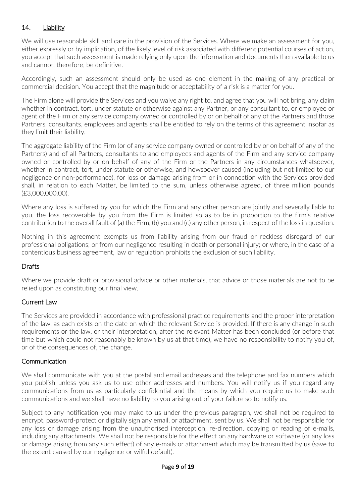# 14. Liability

We will use reasonable skill and care in the provision of the Services. Where we make an assessment for you, either expressly or by implication, of the likely level of risk associated with different potential courses of action, you accept that such assessment is made relying only upon the information and documents then available to us and cannot, therefore, be definitive.

Accordingly, such an assessment should only be used as one element in the making of any practical or commercial decision. You accept that the magnitude or acceptability of a risk is a matter for you.

The Firm alone will provide the Services and you waive any right to, and agree that you will not bring, any claim whether in contract, tort, under statute or otherwise against any Partner, or any consultant to, or employee or agent of the Firm or any service company owned or controlled by or on behalf of any of the Partners and those Partners, consultants, employees and agents shall be entitled to rely on the terms of this agreement insofar as they limit their liability.

The aggregate liability of the Firm (or of any service company owned or controlled by or on behalf of any of the Partners) and of all Partners, consultants to and employees and agents of the Firm and any service company owned or controlled by or on behalf of any of the Firm or the Partners in any circumstances whatsoever, whether in contract, tort, under statute or otherwise, and howsoever caused (including but not limited to our negligence or non-performance), for loss or damage arising from or in connection with the Services provided shall, in relation to each Matter, be limited to the sum, unless otherwise agreed, of three million pounds (£3,000,000.00).

Where any loss is suffered by you for which the Firm and any other person are jointly and severally liable to you, the loss recoverable by you from the Firm is limited so as to be in proportion to the firm's relative contribution to the overall fault of (a) the Firm, (b) you and (c) any other person, in respect of the loss in question.

Nothing in this agreement exempts us from liability arising from our fraud or reckless disregard of our professional obligations; or from our negligence resulting in death or personal injury; or where, in the case of a contentious business agreement, law or regulation prohibits the exclusion of such liability.

# **Drafts**

Where we provide draft or provisional advice or other materials, that advice or those materials are not to be relied upon as constituting our final view.

### Current Law

The Services are provided in accordance with professional practice requirements and the proper interpretation of the law, as each exists on the date on which the relevant Service is provided. If there is any change in such requirements or the law, or their interpretation, after the relevant Matter has been concluded (or before that time but which could not reasonably be known by us at that time), we have no responsibility to notify you of, or of the consequences of, the change.

### **Communication**

We shall communicate with you at the postal and email addresses and the telephone and fax numbers which you publish unless you ask us to use other addresses and numbers. You will notify us if you regard any communications from us as particularly confidential and the means by which you require us to make such communications and we shall have no liability to you arising out of your failure so to notify us.

Subject to any notification you may make to us under the previous paragraph, we shall not be required to encrypt, password-protect or digitally sign any email, or attachment, sent by us. We shall not be responsible for any loss or damage arising from the unauthorised interception, re-direction, copying or reading of e-mails, including any attachments. We shall not be responsible for the effect on any hardware or software (or any loss or damage arising from any such effect) of any e-mails or attachment which may be transmitted by us (save to the extent caused by our negligence or wilful default).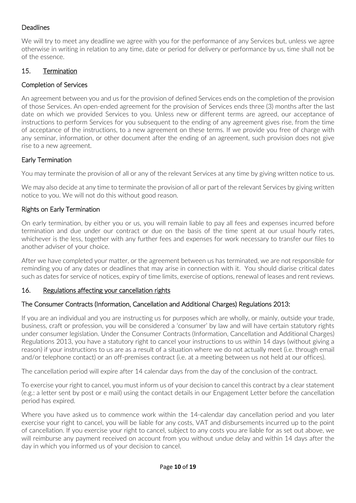# **Deadlines**

We will try to meet any deadline we agree with you for the performance of any Services but, unless we agree otherwise in writing in relation to any time, date or period for delivery or performance by us, time shall not be of the essence.

## 15. Termination

## Completion of Services

An agreement between you and us for the provision of defined Services ends on the completion of the provision of those Services. An open-ended agreement for the provision of Services ends three (3) months after the last date on which we provided Services to you. Unless new or different terms are agreed, our acceptance of instructions to perform Services for you subsequent to the ending of any agreement gives rise, from the time of acceptance of the instructions, to a new agreement on these terms. If we provide you free of charge with any seminar, information, or other document after the ending of an agreement, such provision does not give rise to a new agreement.

## Early Termination

You may terminate the provision of all or any of the relevant Services at any time by giving written notice to us.

We may also decide at any time to terminate the provision of all or part of the relevant Services by giving written notice to you. We will not do this without good reason.

### Rights on Early Termination

On early termination, by either you or us, you will remain liable to pay all fees and expenses incurred before termination and due under our contract or due on the basis of the time spent at our usual hourly rates, whichever is the less, together with any further fees and expenses for work necessary to transfer our files to another adviser of your choice.

After we have completed your matter, or the agreement between us has terminated, we are not responsible for reminding you of any dates or deadlines that may arise in connection with it. You should diarise critical dates such as dates for service of notices, expiry of time limits, exercise of options, renewal of leases and rent reviews.

### 16. Regulations affecting your cancellation rights

### The Consumer Contracts (Information, Cancellation and Additional Charges) Regulations 2013:

If you are an individual and you are instructing us for purposes which are wholly, or mainly, outside your trade, business, craft or profession, you will be considered a 'consumer' by law and will have certain statutory rights under consumer legislation. Under the Consumer Contracts (Information, Cancellation and Additional Charges) Regulations 2013, you have a statutory right to cancel your instructions to us within 14 days (without giving a reason) if your instructions to us are as a result of a situation where we do not actually meet (i.e. through email and/or telephone contact) or an off-premises contract (i.e. at a meeting between us not held at our offices).

The cancellation period will expire after 14 calendar days from the day of the conclusion of the contract.

To exercise your right to cancel, you must inform us of your decision to cancel this contract by a clear statement (e.g.: a letter sent by post or e mail) using the contact details in our Engagement Letter before the cancellation period has expired.

Where you have asked us to commence work within the 14-calendar day cancellation period and you later exercise your right to cancel, you will be liable for any costs, VAT and disbursements incurred up to the point of cancellation. If you exercise your right to cancel, subject to any costs you are liable for as set out above, we will reimburse any payment received on account from you without undue delay and within 14 days after the day in which you informed us of your decision to cancel.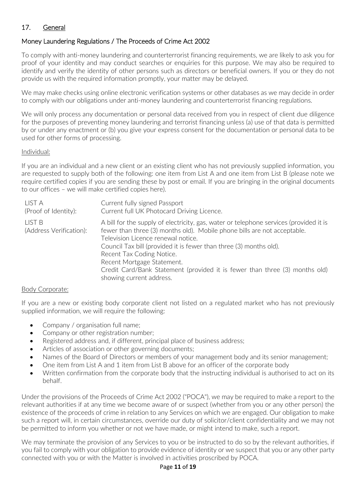# 17. General

# Money Laundering Regulations / The Proceeds of Crime Act 2002

To comply with anti-money laundering and counterterrorist financing requirements, we are likely to ask you for proof of your identity and may conduct searches or enquiries for this purpose. We may also be required to identify and verify the identity of other persons such as directors or beneficial owners. If you or they do not provide us with the required information promptly, your matter may be delayed.

We may make checks using online electronic verification systems or other databases as we may decide in order to comply with our obligations under anti-money laundering and counterterrorist financing regulations.

We will only process any documentation or personal data received from you in respect of client due diligence for the purposes of preventing money laundering and terrorist financing unless (a) use of that data is permitted by or under any enactment or (b) you give your express consent for the documentation or personal data to be used for other forms of processing.

#### Individual:

If you are an individual and a new client or an existing client who has not previously supplied information, you are requested to supply both of the following: one item from List A and one item from List B (please note we require certified copies if you are sending these by post or email. If you are bringing in the original documents to our offices – we will make certified copies here).

| LIST A                            | Current fully signed Passport                                                                                                                                                                                                                                                                                                                                                                                                                        |
|-----------------------------------|------------------------------------------------------------------------------------------------------------------------------------------------------------------------------------------------------------------------------------------------------------------------------------------------------------------------------------------------------------------------------------------------------------------------------------------------------|
| (Proof of Identity):              | Current full UK Photocard Driving Licence.                                                                                                                                                                                                                                                                                                                                                                                                           |
| LIST B<br>(Address Verification): | A bill for the supply of electricity, gas, water or telephone services (provided it is<br>fewer than three (3) months old). Mobile phone bills are not acceptable.<br>Television Licence renewal notice.<br>Council Tax bill (provided it is fewer than three (3) months old).<br>Recent Tax Coding Notice.<br>Recent Mortgage Statement.<br>Credit Card/Bank Statement (provided it is fewer than three (3) months old)<br>showing current address. |

#### Body Corporate:

If you are a new or existing body corporate client not listed on a regulated market who has not previously supplied information, we will require the following:

- Company / organisation full name;
- Company or other registration number;
- Registered address and, if different, principal place of business address;
- Articles of association or other governing documents;
- Names of the Board of Directors or members of your management body and its senior management;
- One item from List A and 1 item from List B above for an officer of the corporate body
- Written confirmation from the corporate body that the instructing individual is authorised to act on its behalf.

Under the provisions of the Proceeds of Crime Act 2002 ("POCA"), we may be required to make a report to the relevant authorities if at any time we become aware of or suspect (whether from you or any other person) the existence of the proceeds of crime in relation to any Services on which we are engaged. Our obligation to make such a report will, in certain circumstances, override our duty of solicitor/client confidentiality and we may not be permitted to inform you whether or not we have made, or might intend to make, such a report.

We may terminate the provision of any Services to you or be instructed to do so by the relevant authorities, if you fail to comply with your obligation to provide evidence of identity or we suspect that you or any other party connected with you or with the Matter is involved in activities proscribed by POCA.

#### Page **11** of **19**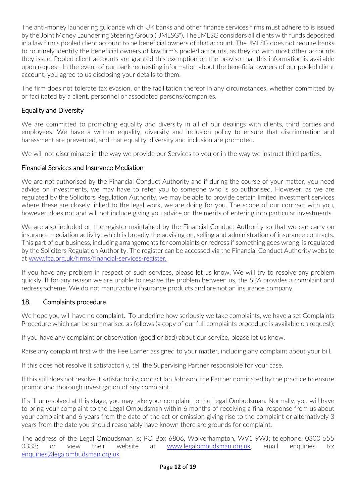The anti-money laundering guidance which UK banks and other finance services firms must adhere to is issued by the Joint Money Laundering Steering Group ("JMLSG"). The JMLSG considers all clients with funds deposited in a law firm's pooled client account to be beneficial owners of that account. The JMLSG does not require banks to routinely identify the beneficial owners of law firm's pooled accounts, as they do with most other accounts they issue. Pooled client accounts are granted this exemption on the proviso that this information is available upon request. In the event of our bank requesting information about the beneficial owners of our pooled client account, you agree to us disclosing your details to them.

The firm does not tolerate tax evasion, or the facilitation thereof in any circumstances, whether committed by or facilitated by a client, personnel or associated persons/companies.

# Equality and Diversity

We are committed to promoting equality and diversity in all of our dealings with clients, third parties and employees. We have a written equality, diversity and inclusion policy to ensure that discrimination and harassment are prevented, and that equality, diversity and inclusion are promoted.

We will not discriminate in the way we provide our Services to you or in the way we instruct third parties.

# Financial Services and Insurance Mediation

We are not authorised by the Financial Conduct Authority and if during the course of your matter, you need advice on investments, we may have to refer you to someone who is so authorised. However, as we are regulated by the Solicitors Regulation Authority, we may be able to provide certain limited investment services where these are closely linked to the legal work, we are doing for you. The scope of our contract with you, however, does not and will not include giving you advice on the merits of entering into particular investments.

We are also included on the register maintained by the Financial Conduct Authority so that we can carry on insurance mediation activity, which is broadly the advising on, selling and administration of insurance contracts. This part of our business, including arrangements for complaints or redress if something goes wrong, is regulated by the Solicitors Regulation Authority. The register can be accessed via the Financial Conduct Authority website at [www.fca.org.uk/firms/financial-services-register.](http://www.fca.org.uk/firms/financial-services-register)

If you have any problem in respect of such services, please let us know. We will try to resolve any problem quickly. If for any reason we are unable to resolve the problem between us, the SRA provides a complaint and redress scheme. We do not manufacture insurance products and are not an insurance company.

# 18. Complaints procedure

We hope you will have no complaint. To underline how seriously we take complaints, we have a set Complaints Procedure which can be summarised as follows (a copy of our full complaints procedure is available on request):

If you have any complaint or observation (good or bad) about our service, please let us know.

Raise any complaint first with the Fee Earner assigned to your matter, including any complaint about your bill.

If this does not resolve it satisfactorily, tell the Supervising Partner responsible for your case.

If this still does not resolve it satisfactorily, contact Ian Johnson, the Partner nominated by the practice to ensure prompt and thorough investigation of any complaint.

If still unresolved at this stage, you may take your complaint to the Legal Ombudsman. Normally, you will have to bring your complaint to the Legal Ombudsman within 6 months of receiving a final response from us about your complaint and 6 years from the date of the act or omission giving rise to the complaint or alternatively 3 years from the date you should reasonably have known there are grounds for complaint.

The address of the Legal Ombudsman is: PO Box 6806, Wolverhampton, WV1 9WJ; telephone, 0300 555 0333; or view their website at [www.legalombudsman.org.uk,](http://www.legalombudsman.org.uk/) email enquiries to: [enquiries@legalombudsman.org.uk](mailto:enquiries@legalombudsman.org.uk)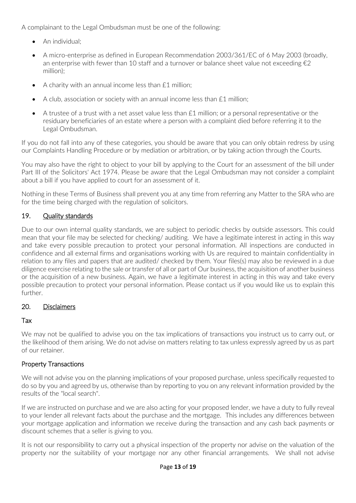A complainant to the Legal Ombudsman must be one of the following:

- An individual:
- A micro-enterprise as defined in European Recommendation 2003/361/EC of 6 May 2003 (broadly, an enterprise with fewer than 10 staff and a turnover or balance sheet value not exceeding  $\epsilon_2$ million);
- A charity with an annual income less than £1 million;
- A club, association or society with an annual income less than £1 million;
- A trustee of a trust with a net asset value less than £1 million; or a personal representative or the residuary beneficiaries of an estate where a person with a complaint died before referring it to the Legal Ombudsman.

If you do not fall into any of these categories, you should be aware that you can only obtain redress by using our Complaints Handling Procedure or by mediation or arbitration, or by taking action through the Courts.

You may also have the right to object to your bill by applying to the Court for an assessment of the bill under Part III of the Solicitors' Act 1974. Please be aware that the Legal Ombudsman may not consider a complaint about a bill if you have applied to court for an assessment of it.

Nothing in these Terms of Business shall prevent you at any time from referring any Matter to the SRA who are for the time being charged with the regulation of solicitors.

# 19. Quality standards

Due to our own internal quality standards, we are subject to periodic checks by outside assessors. This could mean that your file may be selected for checking/ auditing. We have a legitimate interest in acting in this way and take every possible precaution to protect your personal information. All inspections are conducted in confidence and all external firms and organisations working with Us are required to maintain confidentiality in relation to any files and papers that are audited/ checked by them. Your files(s) may also be reviewed in a due diligence exercise relating to the sale or transfer of all or part of Our business, the acquisition of another business or the acquisition of a new business. Again, we have a legitimate interest in acting in this way and take every possible precaution to protect your personal information. Please contact us if you would like us to explain this further.

# 20. Disclaimers

# Tax

We may not be qualified to advise you on the tax implications of transactions you instruct us to carry out, or the likelihood of them arising. We do not advise on matters relating to tax unless expressly agreed by us as part of our retainer.

# Property Transactions

We will not advise you on the planning implications of your proposed purchase, unless specifically requested to do so by you and agreed by us, otherwise than by reporting to you on any relevant information provided by the results of the "local search".

If we are instructed on purchase and we are also acting for your proposed lender, we have a duty to fully reveal to your lender all relevant facts about the purchase and the mortgage. This includes any differences between your mortgage application and information we receive during the transaction and any cash back payments or discount schemes that a seller is giving to you.

It is not our responsibility to carry out a physical inspection of the property nor advise on the valuation of the property nor the suitability of your mortgage nor any other financial arrangements. We shall not advise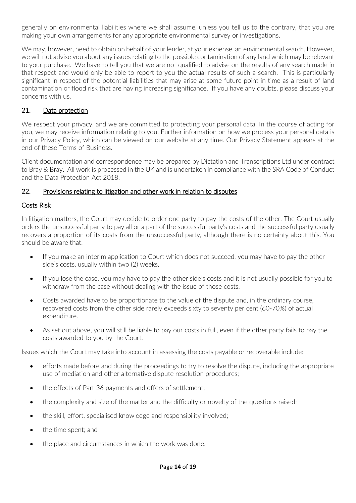generally on environmental liabilities where we shall assume, unless you tell us to the contrary, that you are making your own arrangements for any appropriate environmental survey or investigations.

We may, however, need to obtain on behalf of your lender, at your expense, an environmental search. However, we will not advise you about any issues relating to the possible contamination of any land which may be relevant to your purchase. We have to tell you that we are not qualified to advise on the results of any search made in that respect and would only be able to report to you the actual results of such a search. This is particularly significant in respect of the potential liabilities that may arise at some future point in time as a result of land contamination or flood risk that are having increasing significance. If you have any doubts, please discuss your concerns with us.

# 21. Data protection

We respect your privacy, and we are committed to protecting your personal data. In the course of acting for you, we may receive information relating to you. Further information on how we process your personal data is in our Privacy Policy, which can be viewed on our website at any time. Our Privacy Statement appears at the end of these Terms of Business.

Client documentation and correspondence may be prepared by Dictation and Transcriptions Ltd under contract to Bray & Bray. All work is processed in the UK and is undertaken in compliance with the SRA Code of Conduct and the Data Protection Act 2018.

## 22. Provisions relating to litigation and other work in relation to disputes

## Costs Risk

In litigation matters, the Court may decide to order one party to pay the costs of the other. The Court usually orders the unsuccessful party to pay all or a part of the successful party's costs and the successful party usually recovers a proportion of its costs from the unsuccessful party, although there is no certainty about this. You should be aware that:

- If you make an interim application to Court which does not succeed, you may have to pay the other side's costs, usually within two (2) weeks.
- If you lose the case, you may have to pay the other side's costs and it is not usually possible for you to withdraw from the case without dealing with the issue of those costs.
- Costs awarded have to be proportionate to the value of the dispute and, in the ordinary course, recovered costs from the other side rarely exceeds sixty to seventy per cent (60-70%) of actual expenditure.
- As set out above, you will still be liable to pay our costs in full, even if the other party fails to pay the costs awarded to you by the Court.

Issues which the Court may take into account in assessing the costs payable or recoverable include:

- efforts made before and during the proceedings to try to resolve the dispute, including the appropriate use of mediation and other alternative dispute resolution procedures;
- the effects of Part 36 payments and offers of settlement;
- the complexity and size of the matter and the difficulty or novelty of the questions raised;
- the skill, effort, specialised knowledge and responsibility involved:
- the time spent; and
- the place and circumstances in which the work was done.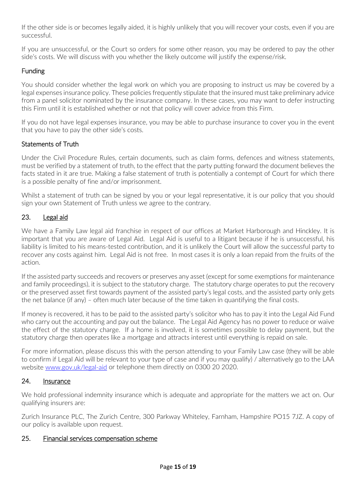If the other side is or becomes legally aided, it is highly unlikely that you will recover your costs, even if you are successful.

If you are unsuccessful, or the Court so orders for some other reason, you may be ordered to pay the other side's costs. We will discuss with you whether the likely outcome will justify the expense/risk.

# Funding

You should consider whether the legal work on which you are proposing to instruct us may be covered by a legal expenses insurance policy. These policies frequently stipulate that the insured must take preliminary advice from a panel solicitor nominated by the insurance company. In these cases, you may want to defer instructing this Firm until it is established whether or not that policy will cover advice from this Firm.

If you do not have legal expenses insurance, you may be able to purchase insurance to cover you in the event that you have to pay the other side's costs.

## Statements of Truth

Under the Civil Procedure Rules, certain documents, such as claim forms, defences and witness statements, must be verified by a statement of truth, to the effect that the party putting forward the document believes the facts stated in it are true. Making a false statement of truth is potentially a contempt of Court for which there is a possible penalty of fine and/or imprisonment.

Whilst a statement of truth can be signed by you or your legal representative, it is our policy that you should sign your own Statement of Truth unless we agree to the contrary.

## 23. Legal aid

We have a Family Law legal aid franchise in respect of our offices at Market Harborough and Hinckley. It is important that you are aware of Legal Aid. Legal Aid is useful to a litigant because if he is unsuccessful, his liability is limited to his means-tested contribution, and it is unlikely the Court will allow the successful party to recover any costs against him. Legal Aid is not free. In most cases it is only a loan repaid from the fruits of the action.

If the assisted party succeeds and recovers or preserves any asset (except for some exemptions for maintenance and family proceedings), it is subject to the statutory charge. The statutory charge operates to put the recovery or the preserved asset first towards payment of the assisted party's legal costs, and the assisted party only gets the net balance (if any) – often much later because of the time taken in quantifying the final costs.

If money is recovered, it has to be paid to the assisted party's solicitor who has to pay it into the Legal Aid Fund who carry out the accounting and pay out the balance. The Legal Aid Agency has no power to reduce or waive the effect of the statutory charge. If a home is involved, it is sometimes possible to delay payment, but the statutory charge then operates like a mortgage and attracts interest until everything is repaid on sale.

For more information, please discuss this with the person attending to your Family Law case (they will be able to confirm if Legal Aid will be relevant to your type of case and if you may qualify) / alternatively go to the LAA website [www.gov.uk/legal-aid](http://www.gov.uk/legal-aid) or telephone them directly on 0300 20 2020.

### 24. Insurance

We hold professional indemnity insurance which is adequate and appropriate for the matters we act on. Our qualifying insurers are:

Zurich Insurance PLC, The Zurich Centre, 300 Parkway Whiteley, Farnham, Hampshire PO15 7JZ. A copy of our policy is available upon request.

### 25. Financial services compensation scheme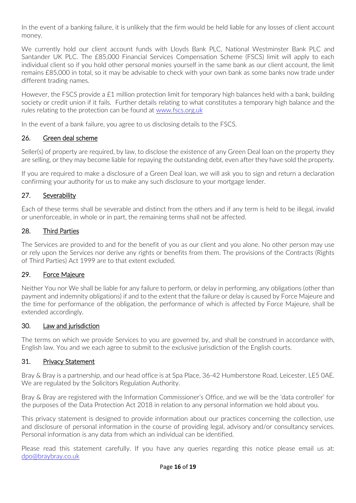In the event of a banking failure, it is unlikely that the firm would be held liable for any losses of client account money.

We currently hold our client account funds with Lloyds Bank PLC, National Westminster Bank PLC and Santander UK PLC. The £85,000 Financial Services Compensation Scheme (FSCS) limit will apply to each individual client so if you hold other personal monies yourself in the same bank as our client account, the limit remains £85,000 in total, so it may be advisable to check with your own bank as some banks now trade under different trading names.

However, the FSCS provide a £1 million protection limit for temporary high balances held with a bank, building society or credit union if it fails. Further details relating to what constitutes a temporary high balance and the rules relating to the protection can be found at [www.fscs.org.uk](http://www.fscs.org.uk/) 

In the event of a bank failure, you agree to us disclosing details to the FSCS.

## 26. Green deal scheme

Seller(s) of property are required, by law, to disclose the existence of any Green Deal loan on the property they are selling, or they may become liable for repaying the outstanding debt, even after they have sold the property.

If you are required to make a disclosure of a Green Deal loan, we will ask you to sign and return a declaration confirming your authority for us to make any such disclosure to your mortgage lender.

## 27. Severability

Each of these terms shall be severable and distinct from the others and if any term is held to be illegal, invalid or unenforceable, in whole or in part, the remaining terms shall not be affected.

## 28. Third Parties

The Services are provided to and for the benefit of you as our client and you alone. No other person may use or rely upon the Services nor derive any rights or benefits from them. The provisions of the Contracts (Rights of Third Parties) Act 1999 are to that extent excluded.

## 29. Force Majeure

Neither You nor We shall be liable for any failure to perform, or delay in performing, any obligations (other than payment and indemnity obligations) if and to the extent that the failure or delay is caused by Force Majeure and the time for performance of the obligation, the performance of which is affected by Force Majeure, shall be extended accordingly.

### 30. Law and jurisdiction

The terms on which we provide Services to you are governed by, and shall be construed in accordance with, English law. You and we each agree to submit to the exclusive jurisdiction of the English courts.

### 31. Privacy Statement

Bray & Bray is a partnership, and our head office is at Spa Place, 36-42 Humberstone Road, Leicester, LE5 0AE. We are regulated by the Solicitors Regulation Authority.

Bray & Bray are registered with the Information Commissioner's Office, and we will be the 'data controller' for the purposes of the Data Protection Act 2018 in relation to any personal information we hold about you.

This privacy statement is designed to provide information about our practices concerning the collection, use and disclosure of personal information in the course of providing legal, advisory and/or consultancy services. Personal information is any data from which an individual can be identified.

Please read this statement carefully. If you have any queries regarding this notice please email us at: [dpo@braybray.co.uk](mailto:dpo@braybray.co.uk)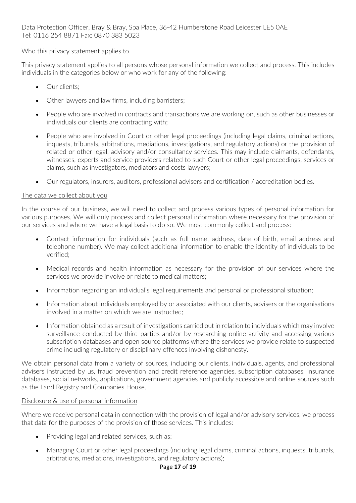#### Who this privacy statement applies to

This privacy statement applies to all persons whose personal information we collect and process. This includes individuals in the categories below or who work for any of the following:

- Our clients:
- Other lawyers and law firms, including barristers;
- People who are involved in contracts and transactions we are working on, such as other businesses or individuals our clients are contracting with;
- People who are involved in Court or other legal proceedings (including legal claims, criminal actions, inquests, tribunals, arbitrations, mediations, investigations, and regulatory actions) or the provision of related or other legal, advisory and/or consultancy services. This may include claimants, defendants, witnesses, experts and service providers related to such Court or other legal proceedings, services or claims, such as investigators, mediators and costs lawyers;
- Our regulators, insurers, auditors, professional advisers and certification / accreditation bodies.

#### The data we collect about you

In the course of our business, we will need to collect and process various types of personal information for various purposes. We will only process and collect personal information where necessary for the provision of our services and where we have a legal basis to do so. We most commonly collect and process:

- Contact information for individuals (such as full name, address, date of birth, email address and telephone number). We may collect additional information to enable the identity of individuals to be verified;
- Medical records and health information as necessary for the provision of our services where the services we provide involve or relate to medical matters;
- Information regarding an individual's legal requirements and personal or professional situation;
- Information about individuals employed by or associated with our clients, advisers or the organisations involved in a matter on which we are instructed;
- Information obtained as a result of investigations carried out in relation to individuals which may involve surveillance conducted by third parties and/or by researching online activity and accessing various subscription databases and open source platforms where the services we provide relate to suspected crime including regulatory or disciplinary offences involving dishonesty.

We obtain personal data from a variety of sources, including our clients, individuals, agents, and professional advisers instructed by us, fraud prevention and credit reference agencies, subscription databases, insurance databases, social networks, applications, government agencies and publicly accessible and online sources such as the Land Registry and Companies House.

#### Disclosure & use of personal information

Where we receive personal data in connection with the provision of legal and/or advisory services, we process that data for the purposes of the provision of those services. This includes:

- Providing legal and related services, such as:
- Managing Court or other legal proceedings (including legal claims, criminal actions, inquests, tribunals, arbitrations, mediations, investigations, and regulatory actions);

#### Page **17** of **19**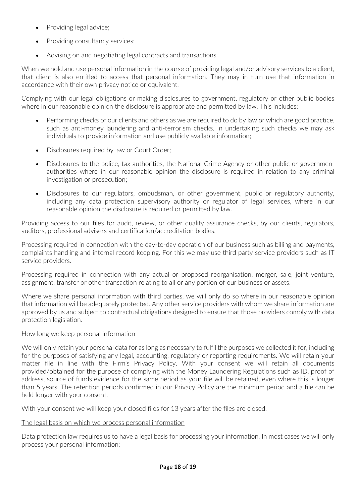- Providing legal advice:
- Providing consultancy services;
- Advising on and negotiating legal contracts and transactions

When we hold and use personal information in the course of providing legal and/or advisory services to a client, that client is also entitled to access that personal information. They may in turn use that information in accordance with their own privacy notice or equivalent.

Complying with our legal obligations or making disclosures to government, regulatory or other public bodies where in our reasonable opinion the disclosure is appropriate and permitted by law. This includes:

- Performing checks of our clients and others as we are required to do by law or which are good practice, such as anti-money laundering and anti-terrorism checks. In undertaking such checks we may ask individuals to provide information and use publicly available information;
- Disclosures required by law or Court Order;
- Disclosures to the police, tax authorities, the National Crime Agency or other public or government authorities where in our reasonable opinion the disclosure is required in relation to any criminal investigation or prosecution;
- Disclosures to our regulators, ombudsman, or other government, public or regulatory authority, including any data protection supervisory authority or regulator of legal services, where in our reasonable opinion the disclosure is required or permitted by law.

Providing access to our files for audit, review, or other quality assurance checks, by our clients, regulators, auditors, professional advisers and certification/accreditation bodies.

Processing required in connection with the day-to-day operation of our business such as billing and payments, complaints handling and internal record keeping. For this we may use third party service providers such as IT service providers.

Processing required in connection with any actual or proposed reorganisation, merger, sale, joint venture, assignment, transfer or other transaction relating to all or any portion of our business or assets.

Where we share personal information with third parties, we will only do so where in our reasonable opinion that information will be adequately protected. Any other service providers with whom we share information are approved by us and subject to contractual obligations designed to ensure that those providers comply with data protection legislation.

# How long we keep personal information

We will only retain your personal data for as long as necessary to fulfil the purposes we collected it for, including for the purposes of satisfying any legal, accounting, regulatory or reporting requirements. We will retain your matter file in line with the Firm's Privacy Policy. With your consent we will retain all documents provided/obtained for the purpose of complying with the Money Laundering Regulations such as ID, proof of address, source of funds evidence for the same period as your file will be retained, even where this is longer than 5 years. The retention periods confirmed in our Privacy Policy are the minimum period and a file can be held longer with your consent.

With your consent we will keep your closed files for 13 years after the files are closed.

### The legal basis on which we process personal information

Data protection law requires us to have a legal basis for processing your information. In most cases we will only process your personal information: